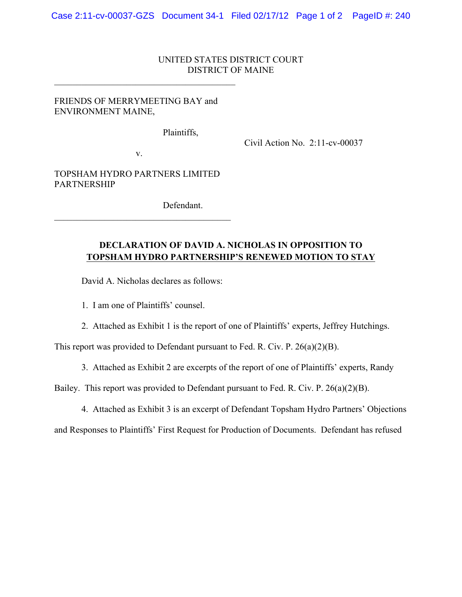## UNITED STATES DISTRICT COURT DISTRICT OF MAINE

## FRIENDS OF MERRYMEETING BAY and ENVIRONMENT MAINE,

 $\mathcal{L}_\text{max}$  , and the set of the set of the set of the set of the set of the set of the set of the set of the set of the set of the set of the set of the set of the set of the set of the set of the set of the set of the

Plaintiffs,

Civil Action No. 2:11-cv-00037

v.

TOPSHAM HYDRO PARTNERS LIMITED PARTNERSHIP

 $\mathcal{L}_\text{max}$  and  $\mathcal{L}_\text{max}$  and  $\mathcal{L}_\text{max}$  and  $\mathcal{L}_\text{max}$ 

Defendant.

## **DECLARATION OF DAVID A. NICHOLAS IN OPPOSITION TO TOPSHAM HYDRO PARTNERSHIP'S RENEWED MOTION TO STAY**

David A. Nicholas declares as follows:

1. I am one of Plaintiffs' counsel.

2. Attached as Exhibit 1 is the report of one of Plaintiffs' experts, Jeffrey Hutchings.

This report was provided to Defendant pursuant to Fed. R. Civ. P. 26(a)(2)(B).

3. Attached as Exhibit 2 are excerpts of the report of one of Plaintiffs' experts, Randy

Bailey. This report was provided to Defendant pursuant to Fed. R. Civ. P. 26(a)(2)(B).

4. Attached as Exhibit 3 is an excerpt of Defendant Topsham Hydro Partners' Objections

and Responses to Plaintiffs' First Request for Production of Documents. Defendant has refused